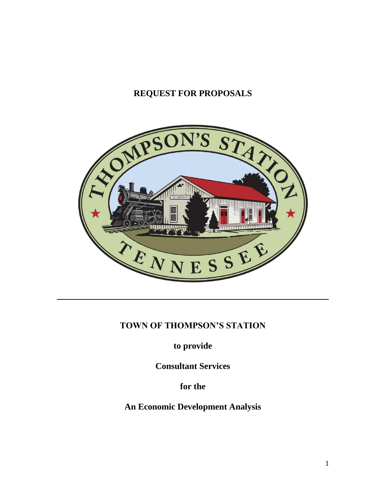# **REQUEST FOR PROPOSALS**



# **TOWN OF THOMPSON'S STATION**

**to provide** 

**Consultant Services** 

**for the**

**An Economic Development Analysis**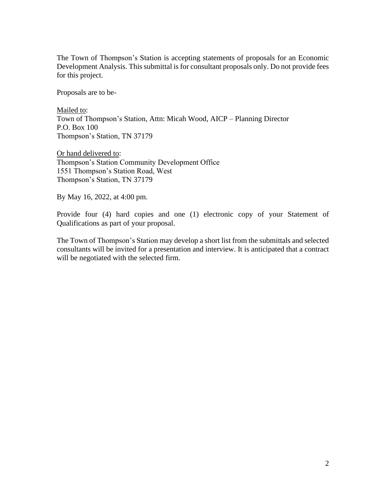The Town of Thompson's Station is accepting statements of proposals for an Economic Development Analysis. This submittal is for consultant proposals only. Do not provide fees for this project.

Proposals are to be-

Mailed to: Town of Thompson's Station, Attn: Micah Wood, AICP – Planning Director P.O. Box 100 Thompson's Station, TN 37179

Or hand delivered to: Thompson's Station Community Development Office 1551 Thompson's Station Road, West Thompson's Station, TN 37179

By May 16, 2022, at 4:00 pm.

Provide four (4) hard copies and one (1) electronic copy of your Statement of Qualifications as part of your proposal.

The Town of Thompson's Station may develop a short list from the submittals and selected consultants will be invited for a presentation and interview. It is anticipated that a contract will be negotiated with the selected firm.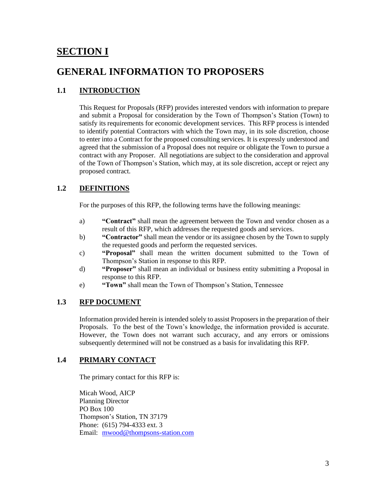# **SECTION I**

# **GENERAL INFORMATION TO PROPOSERS**

# **1.1 INTRODUCTION**

This Request for Proposals (RFP) provides interested vendors with information to prepare and submit a Proposal for consideration by the Town of Thompson's Station (Town) to satisfy its requirements for economic development services. This RFP process is intended to identify potential Contractors with which the Town may, in its sole discretion, choose to enter into a Contract for the proposed consulting services. It is expressly understood and agreed that the submission of a Proposal does not require or obligate the Town to pursue a contract with any Proposer. All negotiations are subject to the consideration and approval of the Town of Thompson's Station, which may, at its sole discretion, accept or reject any proposed contract.

# **1.2 DEFINITIONS**

For the purposes of this RFP, the following terms have the following meanings:

- a) **"Contract"** shall mean the agreement between the Town and vendor chosen as a result of this RFP, which addresses the requested goods and services.
- b) **"Contractor"** shall mean the vendor or its assignee chosen by the Town to supply the requested goods and perform the requested services.
- c) **"Proposal"** shall mean the written document submitted to the Town of Thompson's Station in response to this RFP.
- d) **"Proposer"** shall mean an individual or business entity submitting a Proposal in response to this RFP.
- e) **"Town"** shall mean the Town of Thompson's Station, Tennessee

#### **1.3 RFP DOCUMENT**

Information provided herein is intended solely to assist Proposers in the preparation of their Proposals. To the best of the Town's knowledge, the information provided is accurate. However, the Town does not warrant such accuracy, and any errors or omissions subsequently determined will not be construed as a basis for invalidating this RFP.

# **1.4 PRIMARY CONTACT**

The primary contact for this RFP is:

Micah Wood, AICP Planning Director PO Box 100 Thompson's Station, TN 37179 Phone: (615) 794-4333 ext. 3 Email: [mwood@thompsons-station.com](mailto:mwood@thompsons-station.com)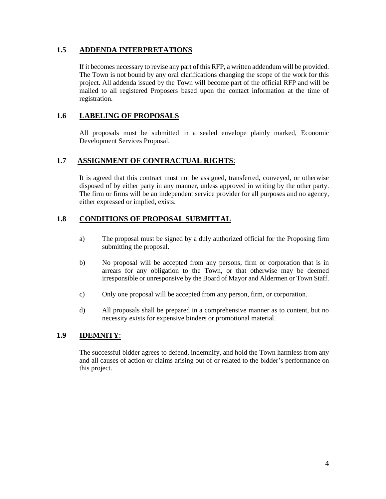### **1.5 ADDENDA INTERPRETATIONS**

If it becomes necessary to revise any part of this RFP, a written addendum will be provided. The Town is not bound by any oral clarifications changing the scope of the work for this project. All addenda issued by the Town will become part of the official RFP and will be mailed to all registered Proposers based upon the contact information at the time of registration.

# **1.6 LABELING OF PROPOSALS**

All proposals must be submitted in a sealed envelope plainly marked, Economic Development Services Proposal.

### **1.7 ASSIGNMENT OF CONTRACTUAL RIGHTS**:

It is agreed that this contract must not be assigned, transferred, conveyed, or otherwise disposed of by either party in any manner, unless approved in writing by the other party. The firm or firms will be an independent service provider for all purposes and no agency, either expressed or implied, exists.

### **1.8 CONDITIONS OF PROPOSAL SUBMITTAL**

- a) The proposal must be signed by a duly authorized official for the Proposing firm submitting the proposal.
- b) No proposal will be accepted from any persons, firm or corporation that is in arrears for any obligation to the Town, or that otherwise may be deemed irresponsible or unresponsive by the Board of Mayor and Aldermen or Town Staff.
- c) Only one proposal will be accepted from any person, firm, or corporation.
- d) All proposals shall be prepared in a comprehensive manner as to content, but no necessity exists for expensive binders or promotional material.

#### **1.9 IDEMNITY**:

The successful bidder agrees to defend, indemnify, and hold the Town harmless from any and all causes of action or claims arising out of or related to the bidder's performance on this project.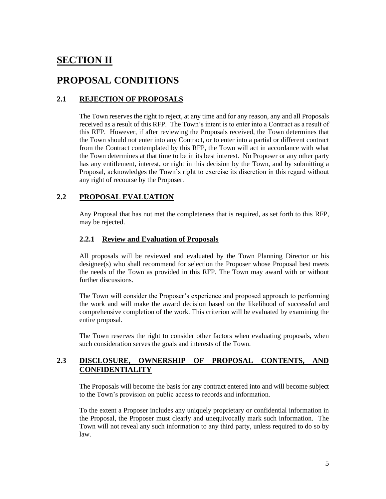# **SECTION II**

# **PROPOSAL CONDITIONS**

# **2.1 REJECTION OF PROPOSALS**

The Town reserves the right to reject, at any time and for any reason, any and all Proposals received as a result of this RFP. The Town's intent is to enter into a Contract as a result of this RFP. However, if after reviewing the Proposals received, the Town determines that the Town should not enter into any Contract, or to enter into a partial or different contract from the Contract contemplated by this RFP, the Town will act in accordance with what the Town determines at that time to be in its best interest. No Proposer or any other party has any entitlement, interest, or right in this decision by the Town, and by submitting a Proposal, acknowledges the Town's right to exercise its discretion in this regard without any right of recourse by the Proposer.

# **2.2 PROPOSAL EVALUATION**

Any Proposal that has not met the completeness that is required, as set forth to this RFP, may be rejected.

#### **2.2.1 Review and Evaluation of Proposals**

All proposals will be reviewed and evaluated by the Town Planning Director or his designee(s) who shall recommend for selection the Proposer whose Proposal best meets the needs of the Town as provided in this RFP. The Town may award with or without further discussions.

The Town will consider the Proposer's experience and proposed approach to performing the work and will make the award decision based on the likelihood of successful and comprehensive completion of the work. This criterion will be evaluated by examining the entire proposal.

The Town reserves the right to consider other factors when evaluating proposals, when such consideration serves the goals and interests of the Town.

# **2.3 DISCLOSURE, OWNERSHIP OF PROPOSAL CONTENTS, AND CONFIDENTIALITY**

The Proposals will become the basis for any contract entered into and will become subject to the Town's provision on public access to records and information.

To the extent a Proposer includes any uniquely proprietary or confidential information in the Proposal, the Proposer must clearly and unequivocally mark such information. The Town will not reveal any such information to any third party, unless required to do so by law.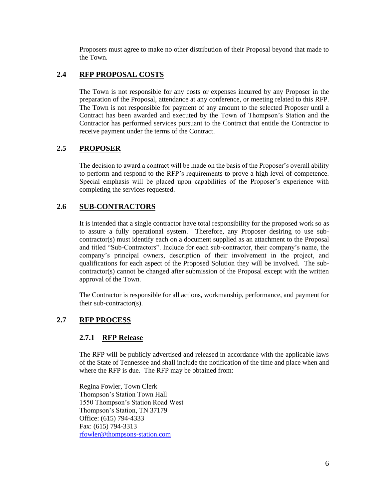Proposers must agree to make no other distribution of their Proposal beyond that made to the Town.

# **2.4 RFP PROPOSAL COSTS**

The Town is not responsible for any costs or expenses incurred by any Proposer in the preparation of the Proposal, attendance at any conference, or meeting related to this RFP. The Town is not responsible for payment of any amount to the selected Proposer until a Contract has been awarded and executed by the Town of Thompson's Station and the Contractor has performed services pursuant to the Contract that entitle the Contractor to receive payment under the terms of the Contract.

### **2.5 PROPOSER**

The decision to award a contract will be made on the basis of the Proposer's overall ability to perform and respond to the RFP's requirements to prove a high level of competence. Special emphasis will be placed upon capabilities of the Proposer's experience with completing the services requested.

### **2.6 SUB-CONTRACTORS**

It is intended that a single contractor have total responsibility for the proposed work so as to assure a fully operational system. Therefore, any Proposer desiring to use subcontractor(s) must identify each on a document supplied as an attachment to the Proposal and titled "Sub-Contractors". Include for each sub-contractor, their company's name, the company's principal owners, description of their involvement in the project, and qualifications for each aspect of the Proposed Solution they will be involved. The subcontractor(s) cannot be changed after submission of the Proposal except with the written approval of the Town.

The Contractor is responsible for all actions, workmanship, performance, and payment for their sub-contractor(s).

# **2.7 RFP PROCESS**

#### **2.7.1 RFP Release**

The RFP will be publicly advertised and released in accordance with the applicable laws of the State of Tennessee and shall include the notification of the time and place when and where the RFP is due. The RFP may be obtained from:

Regina Fowler, Town Clerk Thompson's Station Town Hall 1550 Thompson's Station Road West Thompson's Station, TN 37179 Office: (615) 794-4333 Fax: (615) 794-3313 [rfowler@thompsons-station.com](mailto:rfowler@thompsons-station.com)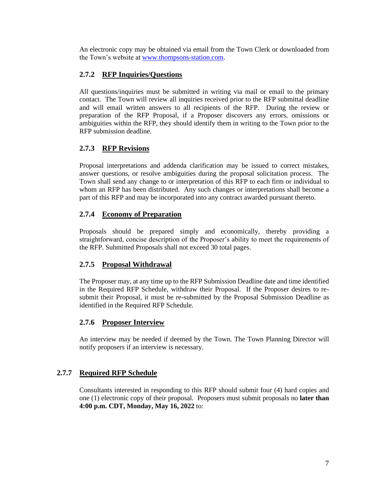An electronic copy may be obtained via email from the Town Clerk or downloaded from the Town's website at [www.thompsons-station.com.](http://www.thompsons-station.com/)

# **2.7.2 RFP Inquiries/Questions**

All questions/inquiries must be submitted in writing via mail or email to the primary contact. The Town will review all inquiries received prior to the RFP submittal deadline and will email written answers to all recipients of the RFP. During the review or preparation of the RFP Proposal, if a Proposer discovers any errors, omissions or ambiguities within the RFP, they should identify them in writing to the Town prior to the RFP submission deadline.

# **2.7.3 RFP Revisions**

Proposal interpretations and addenda clarification may be issued to correct mistakes, answer questions, or resolve ambiguities during the proposal solicitation process. The Town shall send any change to or interpretation of this RFP to each firm or individual to whom an RFP has been distributed. Any such changes or interpretations shall become a part of this RFP and may be incorporated into any contract awarded pursuant thereto.

# **2.7.4 Economy of Preparation**

Proposals should be prepared simply and economically, thereby providing a straightforward, concise description of the Proposer's ability to meet the requirements of the RFP. Submitted Proposals shall not exceed 30 total pages.

# **2.7.5 Proposal Withdrawal**

The Proposer may, at any time up to the RFP Submission Deadline date and time identified in the Required RFP Schedule, withdraw their Proposal. If the Proposer desires to resubmit their Proposal, it must be re-submitted by the Proposal Submission Deadline as identified in the Required RFP Schedule.

# **2.7.6 Proposer Interview**

An interview may be needed if deemed by the Town. The Town Planning Director will notify proposers if an interview is necessary.

#### **2.7.7 Required RFP Schedule**

Consultants interested in responding to this RFP should submit four (4) hard copies and one (1) electronic copy of their proposal. Proposers must submit proposals no **later than 4:00 p.m. CDT, Monday, May 16, 2022** to: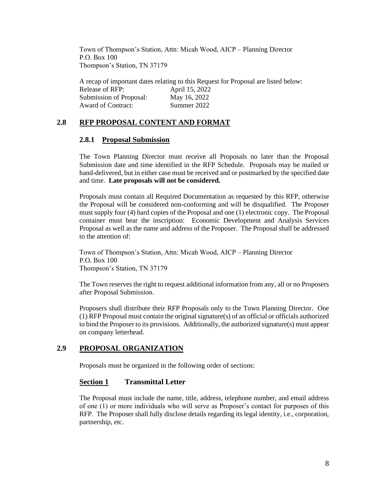Town of Thompson's Station, Attn: Micah Wood, AICP – Planning Director P.O. Box 100 Thompson's Station, TN 37179

A recap of important dates relating to this Request for Proposal are listed below:

| Release of RFP:         | April 15, 2022 |
|-------------------------|----------------|
| Submission of Proposal: | May 16, 2022   |
| Award of Contract:      | Summer 2022    |

#### **2.8 RFP PROPOSAL CONTENT AND FORMAT**

#### **2.8.1 Proposal Submission**

The Town Planning Director must receive all Proposals no later than the Proposal Submission date and time identified in the RFP Schedule. Proposals may be mailed or hand-delivered, but in either case must be received and or postmarked by the specified date and time. **Late proposals will not be considered.**

Proposals must contain all Required Documentation as requested by this RFP, otherwise the Proposal will be considered non-conforming and will be disqualified. The Proposer must supply four (4) hard copies of the Proposal and one (1) electronic copy. The Proposal container must bear the inscription: Economic Development and Analysis Services Proposal as well as the name and address of the Proposer. The Proposal shall be addressed to the attention of:

Town of Thompson's Station, Attn: Micah Wood, AICP – Planning Director P.O. Box 100 Thompson's Station, TN 37179

The Town reserves the right to request additional information from any, all or no Proposers after Proposal Submission.

Proposers shall distribute their RFP Proposals only to the Town Planning Director. One (1) RFP Proposal must contain the original signature(s) of an official or officials authorized to bind the Proposer to its provisions. Additionally, the authorized signature(s) must appear on company letterhead.

#### **2.9 PROPOSAL ORGANIZATION**

Proposals must be organized in the following order of sections:

#### **Section 1 Transmittal Letter**

The Proposal must include the name, title, address, telephone number, and email address of one (1) or more individuals who will serve as Proposer's contact for purposes of this RFP. The Proposer shall fully disclose details regarding its legal identity, i.e., corporation, partnership, etc.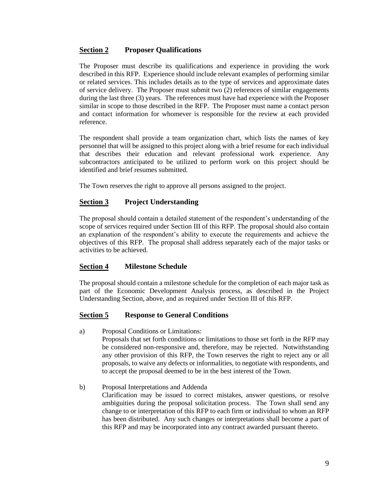### **Section 2 Proposer Qualifications**

The Proposer must describe its qualifications and experience in providing the work described in this RFP. Experience should include relevant examples of performing similar or related services. This includes details as to the type of services and approximate dates of service delivery. The Proposer must submit two (2) references of similar engagements during the last three (3) years. The references must have had experience with the Proposer similar in scope to those described in the RFP. The Proposer must name a contact person and contact information for whomever is responsible for the review at each provided reference.

The respondent shall provide a team organization chart, which lists the names of key personnel that will be assigned to this project along with a brief resume for each individual that describes their education and relevant professional work experience. Any subcontractors anticipated to be utilized to perform work on this project should be identified and brief resumes submitted.

The Town reserves the right to approve all persons assigned to the project.

# **Section 3 Project Understanding**

The proposal should contain a detailed statement of the respondent's understanding of the scope of services required under Section III of this RFP. The proposal should also contain an explanation of the respondent's ability to execute the requirements and achieve the objectives of this RFP. The proposal shall address separately each of the major tasks or activities to be achieved.

#### **Section 4 Milestone Schedule**

The proposal should contain a milestone schedule for the completion of each major task as part of the Economic Development Analysis process, as described in the Project Understanding Section, above, and as required under Section III of this RFP.

#### **Section 5 Response to General Conditions**

- a) Proposal Conditions or Limitations: Proposals that set forth conditions or limitations to those set forth in the RFP may be considered non-responsive and, therefore, may be rejected. Notwithstanding any other provision of this RFP, the Town reserves the right to reject any or all proposals, to waive any defects or informalities, to negotiate with respondents, and to accept the proposal deemed to be in the best interest of the Town.
- b) Proposal Interpretations and Addenda Clarification may be issued to correct mistakes, answer questions, or resolve ambiguities during the proposal solicitation process. The Town shall send any change to or interpretation of this RFP to each firm or individual to whom an RFP has been distributed. Any such changes or interpretations shall become a part of this RFP and may be incorporated into any contract awarded pursuant thereto.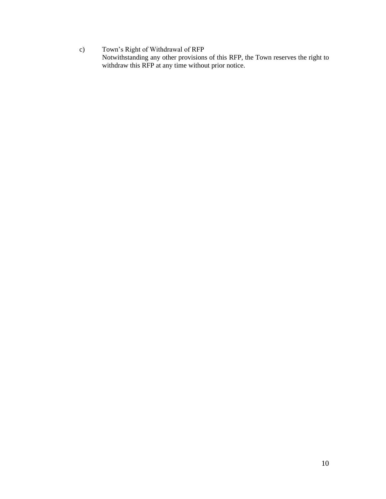c) Town's Right of Withdrawal of RFP Notwithstanding any other provisions of this RFP, the Town reserves the right to withdraw this RFP at any time without prior notice.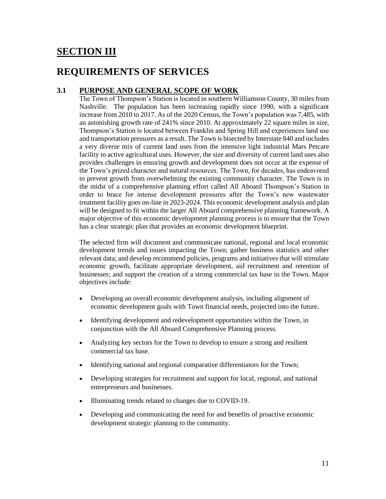# **SECTION III**

# **REQUIREMENTS OF SERVICES**

### **3.1 PURPOSE AND GENERAL SCOPE OF WORK**

The Town of Thompson's Station is located in southern Williamson County, 30 miles from Nashville. The population has been increasing rapidly since 1990, with a significant increase from 2010 to 2017. As of the 2020 Census, the Town's population was 7,485, with an astonishing growth rate of 241% since 2010. At approximately 22 square miles in size, Thompson's Station is located between Franklin and Spring Hill and experiences land use and transportation pressures as a result. The Town is bisected by Interstate 840 and includes a very diverse mix of current land uses from the intensive light industrial Mars Petcare facility to active agricultural uses. However, the size and diversity of current land uses also provides challenges in ensuring growth and development does not occur at the expense of the Town's prized character and natural resources. The Town, for decades, has endeavored to prevent growth from overwhelming the existing community character. The Town is in the midst of a comprehensive planning effort called All Aboard Thompson's Station in order to brace for intense development pressures after the Town's new wastewater treatment facility goes on-line in 2023-2024. This economic development analysis and plan will be designed to fit within the larger All Aboard comprehensive planning framework. A major objective of this economic development planning process is to ensure that the Town has a clear strategic plan that provides an economic development blueprint.

The selected firm will document and communicate national, regional and local economic development trends and issues impacting the Town; gather business statistics and other relevant data; and develop recommend policies, programs and initiatives that will stimulate economic growth, facilitate appropriate development, aid recruitment and retention of businesses; and support the creation of a strong commercial tax base in the Town. Major objectives include:

- Developing an overall economic development analysis, including alignment of economic development goals with Town financial needs, projected into the future.
- Identifying development and redevelopment opportunities within the Town, in conjunction with the All Aboard Comprehensive Planning process.
- Analyzing key sectors for the Town to develop to ensure a strong and resilient commercial tax base.
- Identifying national and regional comparative differentiators for the Town;
- Developing strategies for recruitment and support for local, regional, and national entrepreneurs and businesses.
- Illuminating trends related to changes due to COVID-19.
- Developing and communicating the need for and benefits of proactive economic development strategic planning to the community.